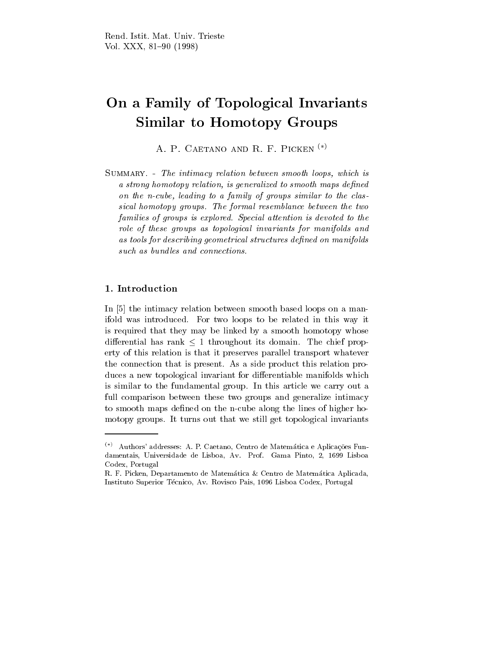# On <sup>a</sup> Family of Topological Invariants Similar to Homotopy Groups

A. P. CAETANO AND R. F. PICKEN  $^{(*)}$ 

Summary. - The intimacy relation between smooth loops, which is a strong homotopy relation, is generalized to smooth maps defined on the n-cube, leading to <sup>a</sup> family of groups similar to the classical homotopy groups. The formal resemblance between the two  $f$ u $f$ ilities of groups is explored. Special attention is devoted to the function  $\mathcal{L}$ role of these groups as topological invariants for manifolds and as tools for describing geometrical structures defined on manifolds such as vanales ana connections.

### 1. Introduction

In [5] the intimacy relation between smooth based loops on a manifold was introduced. For two loops to be related in this way it is required that they may be linked by a smooth homotopy whose differential has rank  $\leq 1$  throughout its domain. The chief property of this relation is that it preserves parallel transport whatever the connection that is present. As a side product this relation produces a new topological invariant for differentiable manifolds which is similar to the fundamental group. In this article we carry out a full comparison between these two groups and generalize intimacy to smooth maps defined on the n-cube along the lines of higher homotopy groups. It turns out that we still get topological invariants

 $(\ast)$  Authors' addresses: A. P. Caetano, Centro de Matemática e Aplicações Fundamentais, Universidade de Lisboa, Av. Prof. Gama Pinto, 2, 1699 Lisboa Codex, Portugal

R. F. Picken, Departamento de Matematica & Centro de Matematica Aplicada, Instituto Superior Tecnico, Av. Rovisco Pais, 1096 Lisboa Codex, Portugal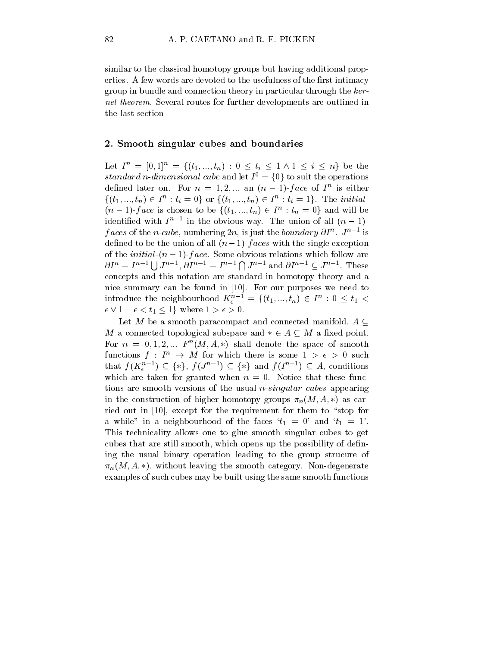similar to the classical homotopy groups but having additional properties. A few words are devoted to the usefulness of the first intimacy group in bundle and connection theory in particular through the kernel theorem. Several routes for further developments are outlined in the last section

#### 2. Smooth singular cubes and boundaries

Let  $I^n = [0, 1]^n = \{(t_1, ..., t_n) : 0 \le t_i \le 1 \land 1 \le i \le n\}$  be the  $standard\ n\-dimensional\ cube\ and\ let\ I^{0}=\{0\} \ to\ suit\ the\ operations$ defined fater on. For  $n = 1, 2, ...$  and  $(n - 1)$ -face of I is either  $\{(t_1,...,t_n)\in I^n: t_i=0\}$  or  $\{(t_1,...,t_n)\in I^n: t_i=1\}$ . The *initial*- $(n-1)$ -face is chosen to be  $\{(t_1,...,t_n) \in I^n : t_n = 0\}$  and will be identified with  $I^{n-1}$  in the obvious way. The union of all  $(n-1)$ faces of the *n*-cube, numbering 2n, is just the boundary  $\partial I^n$ .  $J^{n-1}$  is defined to be the union of all  $(n-1)$ -faces with the single exception of the *initial*- $(n - 1)$ -face. Some obvious relations which follow are  $\partial I^n = I^{n-1} \bigcup J^{n-1}, \, \partial I^{n-1} = I^{n-1} \bigcap J^{n-1}$  and  $\partial I^{n-1} \subseteq J^{n-1}$ . These concepts and this notation are standard in homotopy theory and a nice summary can be found in [10]. For our purposes we need to introduce the neighbourhood  $K_{\epsilon}^{n-1}$  =  $\{(t_1,...,t_n)\in I^n: 0\leq t_1<\epsilon\}$  $\epsilon \vee 1 - \epsilon < t_1 \leq 1$  where  $1 > \epsilon > 0$ .

Let M be a smooth paracompact and connected manifold,  $A \subseteq$ M a connected topological subspace and  $* \in A \subseteq M$  a fixed point. For  $n = 0, 1, 2, ...$   $F^{n}(M, A, *)$  shall denote the space of smooth functions  $f: I^n \to M$  for which there is some  $1 > \epsilon > 0$  such that  $f(K_{\epsilon}^{n-1}) \subseteq {\ast}$ ,  $f(J^{n-1}) \subseteq {\ast}$  and  $f(I^{n-1}) \subseteq A$ , conditions which are taken for granted when  $n = 0$ . Notice that these functions are smooth versions of the usual n-singular cubes appearing in the construction of higher homotopy groups  $\pi_n(M, A, *)$  as carried out in  $[10]$ , except for the requirement for them to "stop for a while" in a neighbourhood of the faces  $t_1 = 0$ ' and  $t_1 = 1'$ . This technicality allows one to glue smooth singular cubes to get cubes that are still smooth, which opens up the possibility of dening the usual binary operation leading to the group strucure of  $\pi_n(M, A, *)$ , without leaving the smooth category. Non-degenerate examples of such cubes may be built using the same smooth functions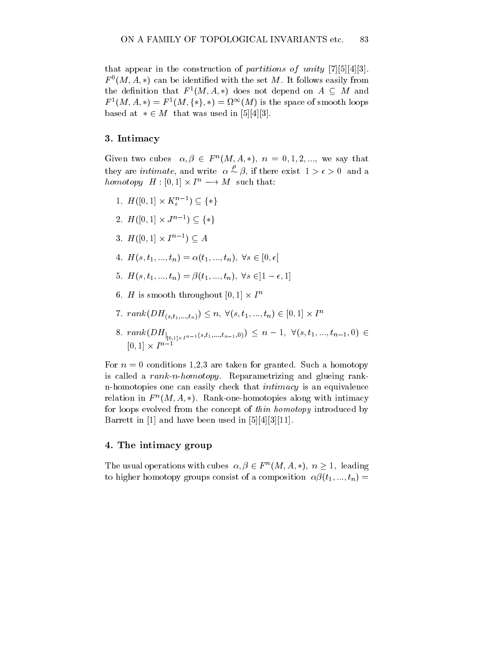that appear in the construction of partitions of unity  $[7][5][4][3]$ .  $F^{\circ}(M, A, *)$  can be identified with the set  $M$ . It follows easily from the definition that  $F^1(M, A, *)$  does not depend on  $A \subseteq M$  and  $F^1(M,A,*)=F^1(M,\{*\},*)=\Omega^\infty(M)$  is the space of smooth loops based at  $* \in M$  that was used in [5][4][3].

#### 3. Intimacy

Given two cubes  $\alpha, \beta \in F^n(M, A, *)$ ,  $n = 0, 1, 2, ...$ , we say that they are *intimate*, and write  $\alpha \sim \beta$ , if there exist  $1 > \epsilon > 0$  and a homotopy  $H : [0,1] \times I^n \longrightarrow M$  such that:

- 1.  $H([0,1] \times K_{\epsilon}^{n-1}) \subseteq {\{\ast\}}$
- 2.  $H([0,1] \times J^{n-1}) \subseteq {\{*\}}$
- 3.  $H([0,1] \times I^{n-1}) \subseteq A$
- 4.  $H(s, t_1, ..., t_n) = \alpha(t_1, ..., t_n), \forall s \in [0, \epsilon]$
- 5.  $H(s, t_1, ..., t_n) = \beta(t_1, ..., t_n), \forall s \in ]1 \epsilon, 1]$
- 6. H is smooth throughout  $|0, 1| \times I^n$
- 7.  $rank(DH_{(s,t_1,...,t_n)}) \leq n, \; \forall (s,t_1,...,t_n) \in [0,1] \times I^n$
- 8.  $rank(DH_{|_{[0,1]\times I^{n-1}}(s,t_1,...,t_{n-1},0)}) \leq n-1, \ \forall (s,t_1,...,t_{n-1},0) \in$  $[0, 1] \times I^{n-1}$

For  $n = 0$  conditions 1,2,3 are taken for granted. Such a homotopy is called a rank-n-homotopy. Reparametrizing and glueing rankn-homotopies one can easily check that intimacy is an equivalence relation in  $F^{\prime\prime}(M, A, *)$ . Kank-one-homotopies along with intimacy for loops evolved from the concept of thin homotopy introduced by Barrett in [1] and have been used in [5][4][3][11].

### 4. The intimacy group

The usual operations with cubes  $\alpha, \beta \in F^n(M, A, *)$ ,  $n \geq 1$ , leading to higher homotopy groups consist of a composition  $\alpha\beta(t_1, ..., t_n)$  =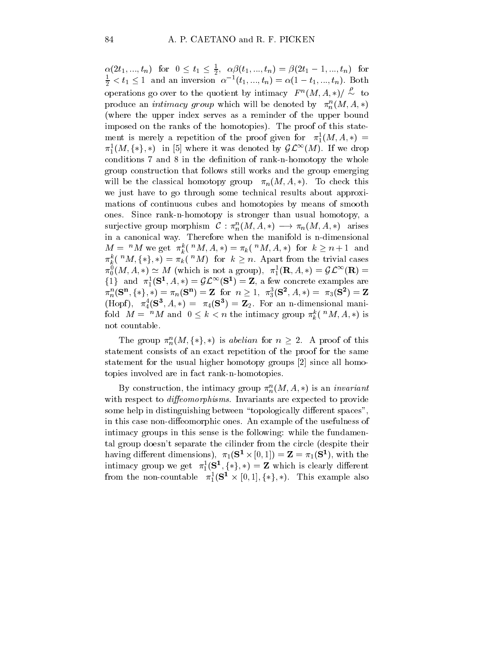$\alpha(2t_1, ..., t_n)$  for  $0 \le t_1 \le \frac{1}{2}$ ,  $\alpha\beta(t_1, ..., t_n) = \beta(2t_1 - 1, ..., t_n)$  for  $\frac{1}{2} < t_1 \leq 1$  and an inversion  $\alpha^{-1}(t_1, ..., t_n) = \alpha(1 - t_1, ..., t_n)$ . Both operations go over to the quotient by intimacy  $F^n(M, A, *)/ \sim$  to produce an  $\it{intimacy}$  group which will be denoted by  $\pi^n_n(M, A, *)$ (where the upper index serves as a reminder of the upper bound imposed on the ranks of the homotopies). The proof of this statement is merely a repetition of the proof given for  $\pi_1^1(M, A, *) =$  $\pi_1^1(M, \{*\}, *)$  in [5] where it was denoted by  $\mathcal{GL}^{\infty}(M)$ . If we drop conditions 7 and 8 in the definition of rank-n-homotopy the whole group construction that follows still works and the group emerging will be the classical homotopy group  $\pi_n(M, A, *)$ . To check this we just have to go through some technical results about approximations of continuous cubes and homotopies by means of smooth ones. Since rank-n-homotopy is stronger than usual homotopy, a surjective group morphism  $\mathcal{C}: \pi^n_n(M, A, *) \longrightarrow \pi_n(M, A, *)$  arises in a canonical way. Therefore when the manifold is n-dimensional  $M = {}^{n}M$  we get  $\pi_k^{\kappa}({}^{n}M, A, *) = \pi_k({}^{n}M, A, *)$  for  $k \geq n+1$  and  $\pi_k^k({}^{\,n}M,\{*\},*)=\pi_k({}^{\,n}M){}$  for  $k\geq n.$  Apart from the trivial cases  $\pi_0^0(M,A,*)\simeq M$  (which is not a group),  $\pi_1^1(\mathbf{R},A,*)=\mathcal{GL}^{\infty}(\mathbf{R})=1$  $\{1\}$  and  $\pi_1^1(\mathbf{S}^1, A, *) = \mathcal{GL}^{\infty}(\mathbf{S}^1) = \mathbf{Z}$ , a few concrete examples are  $\pi_n^n({\bf S^n}, \{*\}, *) = \pi_n({\bf S^n}) = {\bf Z} \ \ \text{for} \ \ n \geq 1, \ \ \pi_3^3({\bf S^2}, A, *) = \ \pi_3({\bf S^2}) = {\bf Z} \nonumber$  $(\text{Hopt}), \ \pi_4^*(\mathbf{S}^*, A, *) = \pi_4(\mathbf{S}^*) = \mathbf{Z}_2.$  For an n-dimensional manifold  $M = "M$  and  $0 \leq k < n$  the intimacy group  $\pi_k^k({}^{\textit{n}}M, A, *)$  is not countable.

The group  $\pi_n^n(M, \{*\}, *)$  is abelian for  $n \geq 2$ . A proof of this statement consists of an exact repetition of the proof for the same statement for the usual higher homotopy groups [2] since all homotopies involved are in fact rank-n-homotopies.

By construction, the intimacy group  $\pi_n^{\scriptscriptstyle\bullet}(M,A,*)$  is an *invariant* with respect to *diffeomorphisms*. Invariants are expected to provide some help in distinguishing between "topologically different spaces", in this case non-diffeomorphic ones. An example of the usefulness of intimacy groups in this sense is the following: while the fundamental group doesn't separate the cilinder from the circle (despite their having different dimensions),  $\pi_1(\mathbf{S}^* \times |0,1|) = \mathbf{Z} = \pi_1(\mathbf{S}^*),$  with the intimacy group we get  $\pi_1^1(\mathbf{S}^1, \{*\}, *) = \mathbf{Z}$  which is clearly different from the non-countable  $\pi_1^1(S^1 \times [0,1], \{*\}, *)$ . This example also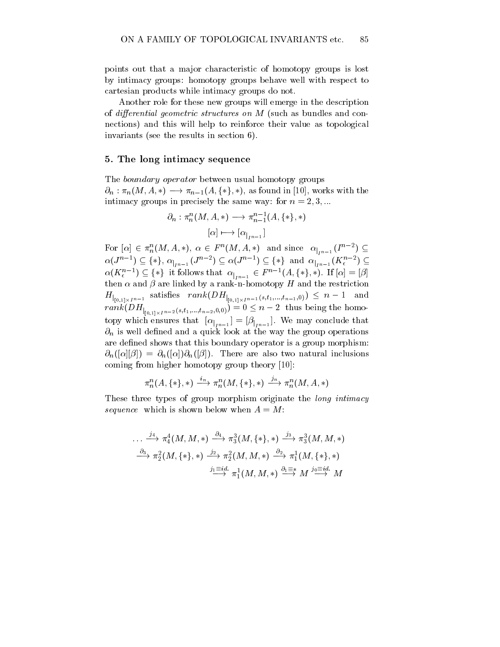points out that a major characteristic of homotopy groups is lost by intimacy groups: homotopy groups behave well with respect to cartesian products while intimacy groups do not.

Another role for these new groups will emerge in the description of differential geometric structures on  $M$  (such as bundles and connections) and this will help to reinforce their value as topological invariants (see the results in section 6).

### 5. The long intimacy sequence

The boundary operator between usual homotopy groups  $\partial_n : \pi_n(M, A, *) \longrightarrow \pi_{n-1}(A, \{*\}, *)$ , as found in [10], works with the intimacy groups in precisely the same way: for  $n = 2, 3, ...$ 

$$
\partial_n : \pi^n_n(M, A, *) \longrightarrow \pi^{n-1}_{n-1}(A, \{ * \}, *)
$$

$$
[\alpha] \longmapsto [\alpha_{|_{I^{n-1}}}]
$$

For  $[\alpha] \in \pi^n_n(M, A, *), \ \alpha \in F^n(M, A, *)$  and since  $\alpha_{|_{I^{n-1}}} (I^{n-2}) \subseteq$  $\alpha(J^{n-1}) \subseteq \{*\}, \alpha_{|_{I^{n-1}}}(J^{n-2}) \subseteq \alpha(J^{n-1}) \subseteq \{*\}$  and  $\alpha_{|_{I^{n-1}}}(K_{\epsilon}^{n-2}) \subseteq$  $\alpha(K_{\epsilon}^{n-1}) \subseteq {\{\ast\}}$  it follows that  $\alpha_{|_{I^{n-1}}} \in F^{n-1}(A,{\{\ast\}},\ast)$ . If  $[\alpha] = [\beta]$ then  $\alpha$  and  $\beta$  are linked by a rank-n-homotopy H and the restriction  $H_{\vert_{[0,1]\times I^{n-1}}}$  satisfies  $rank(DH_{\vert_{[0,1]\times I^{n-1}}(s,t_1,...,t_{n-1},0)}) \leq n-1$  and  $rank(DH_{|_{[0,1]\times I^{n-2}}(s,t_1,...,t_{n-2},0,0)})=0\leq n-2$  thus being the homotopy which ensures that  $\left[\alpha\right]_{n-1}=\left[\beta\right]_{n-1}$ . We may conclude that  $\partial_n$  is well defined and a quick look at the way the group operations are defined shows that this boundary operator is a group morphism:  $\partial_n([\alpha][\beta]) = \partial_n([\alpha])\partial_n([\beta])$ . There are also two natural inclusions coming from higher homotopy group theory [10]:

$$
\pi^n_n(A,\{*\},*)\ \stackrel{\imath_n}{\longrightarrow}\pi^n_n(M,\{*\},*)\ \stackrel{\jmath_n}{\longrightarrow}\pi^n_n(M,A,*)
$$

These three types of group morphism originate the *long intimacy* sequence which is shown below when A = M:

$$
\cdots \xrightarrow{j_4} \pi_4^4(M, M, *) \xrightarrow{\partial_4} \pi_3^3(M, \{*\}, *) \xrightarrow{j_3} \pi_3^3(M, M, *)
$$
  

$$
\xrightarrow{\partial_3} \pi_2^2(M, \{*\}, *) \xrightarrow{j_2} \pi_2^2(M, M, *) \xrightarrow{\partial_2} \pi_1^1(M, \{*\}, *)
$$
  

$$
\xrightarrow{j_1 \equiv id} \pi_1^1(M, M, *) \xrightarrow{\partial_1 \equiv *} M \xrightarrow{j_0 \equiv id} M
$$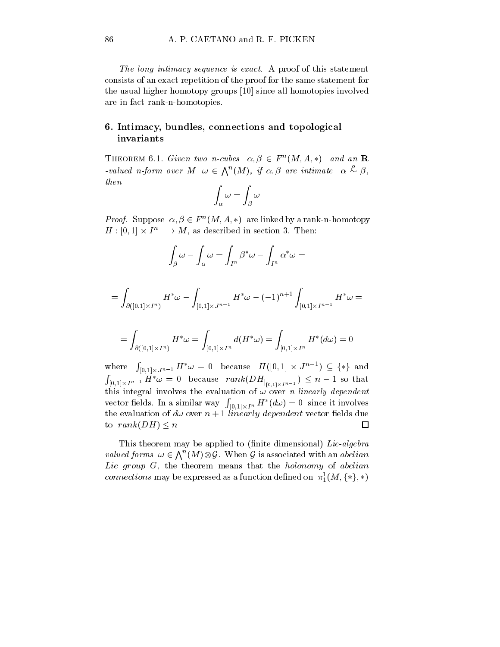The long intimacy sequence is exact. A proof of this statement consists of an exact repetition of the proof for the same statement for the usual higher homotopy groups [10] since all homotopies involved are in fact rank-n-homotopies.

## 6. Intimacy, bundles, connections and topological invariants

THEOREM 6.1. Given two n-cubes  $\alpha, \beta \in F^n(M, A, *)$  and an **R** -valued n-form over  $M \omega \in \Lambda^n(M)$ , if  $\alpha, \beta$  are intimate  $\alpha \stackrel{\nu}{\sim} \beta$ , then<sup>Z</sup> <sup>Z</sup>

$$
\int_{\alpha} \omega = \int_{\beta} \omega
$$

*Proof.* Suppose  $\alpha, \beta \in F^n(M, A, *)$  are linked by a rank-n-homotopy  $H : [0,1] \times I^n \longrightarrow M$ , as described in section 3. Then:

$$
\int_{\beta} \omega - \int_{\alpha} \omega = \int_{I^n} \beta^* \omega - \int_{I^n} \alpha^* \omega =
$$

$$
= \int_{\partial([0,1]\times I^n)} H^*\omega - \int_{[0,1]\times J^{n-1}} H^*\omega - (-1)^{n+1} \int_{[0,1]\times I^{n-1}} H^*\omega =
$$

$$
= \int_{\partial([0,1]\times I^n)} H^*\omega = \int_{[0,1]\times I^n} d(H^*\omega) = \int_{[0,1]\times I^n} H^*(d\omega) = 0
$$

where  $\int_{[0,1]\times J^{n-1}} H^*\omega = 0$  because  $H([0,1]\times J^{n-1}) \subseteq {\{*\}}$  and **Research Controllers**  $\int_{[0,1] \times I^{n-1}} H^* \omega = 0$  because  $rank(DH_{|_{[0,1] \times I^{n-1}}}) \leq n-1$  so that this integral involves the evaluation of  $\omega$  over n linearly dependent **Representative Communication**  $\int_{[0,1]\times I^n} H^*(d\omega)=0$  since it involves vector elds. In a similar way the evaluation of  $d\omega$  over  $n+1$  linearly dependent vector fields due to  $rank(DH) \leq n$  $\Box$ 

This theorem may be applied to (finite dimensional)  $Lie-algebra$ valued forms  $\omega \in \bigwedge^n(M) \otimes \mathcal{G}$ . When G is associated with an abelian Lie group  $G$ , the theorem means that the holonomy of abelian *connections* may be expressed as a function defined on  $\pi_1^1(M, \{*\}, *)$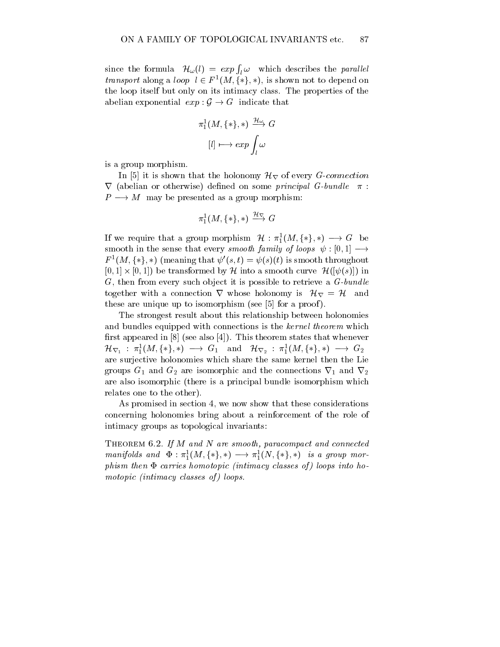since the formula  $\mathcal{H}_{\omega}(l) = exp \int_{l} \omega$  which describes the parallel *transport* along a *loop*  $l \in F^1(M, \{*\}, *)$ , is shown not to depend on the loop itself but only on its intimacy class. The properties of the abelian exponential  $exp: \mathcal{G} \to G$  indicate that

$$
\begin{aligned} \pi^1_1(M,\{\ast\},\ast) &\xrightarrow{\mathcal{H}_\omega} G \\ [l] &\longmapsto exp \int_l \omega \end{aligned}
$$

is a group morphism.

In [5] it is shown that the holonomy  $\mathcal{H}_{\nabla}$  of every *G-connection*  $\nabla$  (abelian or otherwise) defined on some *principal G-bundle*  $\pi$ :  $P \longrightarrow M$  may be presented as a group morphism:

$$
\pi_1^1(M,\{*\},*)\stackrel{\mathcal{H}_\nabla}{\longrightarrow}G
$$

If we require that a group morphism  $\mathcal{H}: \pi_1^1(M, \{*\}, *) \longrightarrow G$  be smooth in the sense that every smooth family of loops  $\psi : [0, 1] \longrightarrow$  $F^1(M,\{*\},*)$  (meaning that  $\psi'(s,t) = \psi(s)(t)$  is smooth throughout  $[0, 1] \times [0, 1]$  be transformed by H into a smooth curve  $\mathcal{H}(|\psi(s)|)$  in  $G$ , then from every such object it is possible to retrieve a  $G$ -bundle together with a connection  $\nabla$  whose holonomy is  $\mathcal{H}_{\nabla} = \mathcal{H}$  and these are unique up to isomorphism (see [5] for a proof ).

The strongest result about this relationship between holonomies and bundles equipped with connections is the kernel theorem which first appeared in  $[8]$  (see also  $[4]$ ). This theorem states that whenever  ${\mathcal H}_{\nabla_1}\,:\, \pi_1^1(M,\{*\},*)\,\longrightarrow\, G_1\quad\text{and}\quad {\mathcal H}_{\nabla_2}\,:\, \pi_1^1(M,\{*\},*)\,\longrightarrow\, G_2$ are surjective holonomies which share the same kernel then the Lie groups  $G_1$  and  $G_2$  are isomorphic and the connections  $\nabla_1$  and  $\nabla_2$ are also isomorphic (there is a principal bundle isomorphism which relates one to the other).

As promised in section 4, we now show that these considerations concerning holonomies bring about a reinforcement of the role of intimacy groups as topological invariants:

THEOREM 6.2. If M and N are smooth, paracompact and connected manifolds and  $\Phi: \pi_1^1(M, \{*\}, *) \longrightarrow \pi_1^1(N, \{*\}, *)$  is a group mor $p$ hism then  $\bm{x}$  carries homotopic (intimacy classes of) loops into homotopic (intimacy classes of ) loops.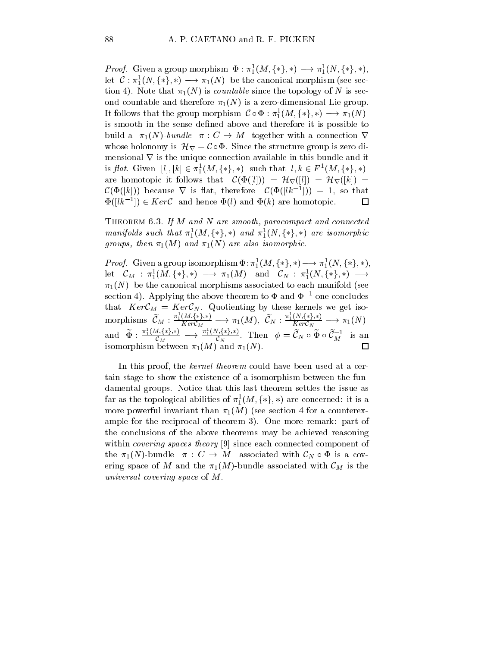*Proof.* Given a group morphism  $\Phi : \pi_1^1(M, \{*\}, *) \longrightarrow \pi_1^1(N, \{*\}, *)$ , let  $C: \pi_1^1(N, \{*\}, *) \longrightarrow \pi_1(N)$  be the canonical morphism (see section 4). Note that  $\pi_1(N)$  is *countable* since the topology of N is second countable and therefore  $\pi_1(N)$  is a zero-dimensional Lie group. It follows that the group morphism  $\mathcal{C} \circ \Phi : \pi_1^1(M,\{*\},*) \longrightarrow \pi_1(N)$ is smooth in the sense defined above and therefore it is possible to build a  $\pi_1(N)$ -bundle  $\pi : C \to M$  together with a connection  $\nabla$ whose holonomy is  $\mathcal{H}_{\nabla} = \mathcal{C} \circ \Phi$ . Since the structure group is zero dimensional  $\nabla$  is the unique connection available in this bundle and it is flat. Given  $[l], [k] \in \pi_1^1(M, \{*\}, *)$  such that  $l, k \in F^1(M, \{*\}, *)$ are homotopic it follows that  $\mathcal{C}(\Phi([l])) = \mathcal{H}_{\nabla}([l]) = \mathcal{H}_{\nabla}([k]) =$  $\mathcal{C}(\Phi(|k|))$  because  $\nabla$  is flat, therefore  $\mathcal{C}(\Phi(|lk^{-1}|)) = 1$ , so that  $\Phi(|lk^{-1}|) \in Ker\mathcal{C}$  and hence  $\Phi(l)$  and  $\Phi(k)$  are homotopic. □

THEOREM 6.3. If M and N are smooth, paracompact and connected manifolds such that  $\pi_1^1(M,\{*\},*)$  and  $\pi_1^1(N,\{*\},*)$  are isomorphic  $g \mapsto \# \circ \gamma$  and is in  $1$  (with  $1$  and  $1$  (with  $1$  and also isomorphic isomorphic.

*Proof.* Given a group isomorphism  $\Phi: \pi_1^1(M, \{*\}, *) \longrightarrow \pi_1^1(N, \{*\}, *)$ ,  $\mathrm{let} \quad \mathcal{C}_M : \pi_1^1(M,\{*\},*) \; \longrightarrow \; \pi_1(M) \quad \mathrm{and} \quad \mathcal{C}_N : \pi_1^1(N,\{*\},*) \; \longrightarrow$  $\pi_1(N)$  be the canonical morphisms associated to each manifold (see section 4). Applying the above theorem to  $\Phi$  and  $\Phi^{-1}$  one concludes that  $KerC_M = KerC_N$ . Quotienting by these kernels we get iso- $\begin{array}{c} \displaystyle{\mathrm{morphisms}} \;\; \widetilde{ {\mathcal C}}_M: \frac{\pi_1^1(M,\{*,\}*)}{Ker {\mathcal C}_M} \longrightarrow {\pi_1(M)}, \;\; \widetilde{ {\mathcal C}}_N: \frac{\pi_1^1(N,\{*,\}*)}{Ker {\mathcal C}_N} \longrightarrow {\pi_1(N)} \end{array}$ and  $\widetilde{\Phi} : \frac{\pi_1^1(M,\{*\},*)}{\mathcal{C}_M} \longrightarrow \frac{\pi_1^1(N,\{*\},*)}{\mathcal{C}_N}$ . The  $\mathcal{C}_N^{(\frac{1}{2},\frac{1}{2},\frac{1}{2})}$ . Then  $\phi = \mathcal{C}_N \circ \Phi \circ \mathcal{C}_M^{-1}$  is an isomorphism between  $\pi_1(M)$  and  $\pi_1(N)$ .  $\Box$ 

In this proof, the *kernel theorem* could have been used at a certain stage to show the existence of a isomorphism between the fundamental groups. Notice that this last theorem settles the issue as far as the topological abilities of  $\pi_1^1(M, \{*\}, *)$  are concerned: it is a more powerful invariant than  $\pi_1(M)$  (see section 4 for a counterexample for the reciprocal of theorem 3). One more remark: part of the conclusions of the above theorems may be achieved reasoning within *covering spaces theory* [9] since each connected component of the  $\pi_1(N)$ -bundle  $\pi : C \to M$  associated with  $\mathcal{C}_N \circ \Phi$  is a covering space of M and the  $\pi_1(M)$ -bundle associated with  $\mathcal{C}_M$  is the universal covering space of the space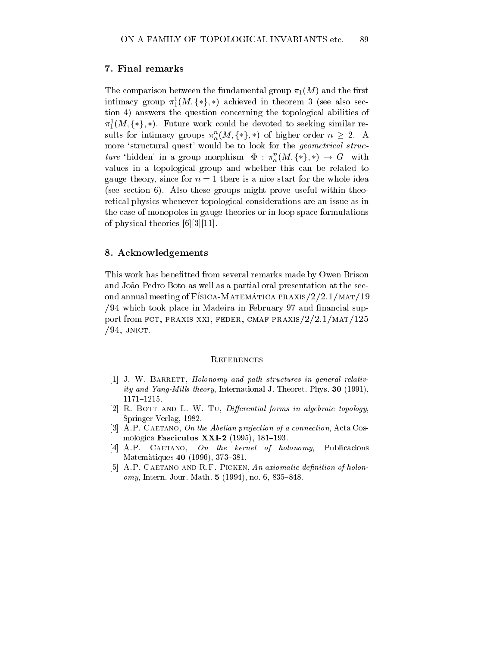### 7. Final remarks

The comparison between the fundamental group  $\pi_1(M)$  and the first intimacy group  $\pi_1^1(M, \{*\}, *)$  achieved in theorem 3 (see also section 4) answers the question concerning the topological abilities of  $\pi_1^1(M, \{*\}, *)$ . Future work could be devoted to seeking similar results for intimacy groups  $\pi^n_n(M, \{*\}, *)$  of higher order  $n \geq 2$ . A more 'structural quest' would be to look for the *geometrical struc*ture 'hidden' in a group morphism  $\Phi : \pi^n_n(M, \{*\}, *) \to G$  with values in a topological group and whether this can be related to gauge theory, since for  $n = 1$  there is a nice start for the whole idea (see section 6). Also these groups might prove useful within theoretical physics whenever topological considerations are an issue as in the case of monopoles in gauge theories or in loop space formulations of physical theories [6][3][11].

#### 8. Acknowledgements

This work has benefitted from several remarks made by Owen Brison and João Pedro Boto as well as a partial oral presentation at the second annual meeting of Física-Matematica praxis/ $2/2.1/MAT/19$  $/94$  which took place in Madeira in February 97 and financial support from FCT, PRAXIS XXI, FEDER, CMAF PRAXIS/ $2/2.1/MAT/125$  $/94$ , JNICT.

#### **REFERENCES**

- $[1]$  J. W. BARRETT, Holonomy and path structures in general relativity and Yang-Mills theory, International J. Theoret. Phys. 30 (1991),  $1171{-}1215.$
- $[2]$  R. BOTT AND L. W. TU, Differential forms in algebraic topology, Springer Verlag, 1982.
- [3] A.P. CAETANO, On the Abelian projection of a connection, Acta Cosmologica Fasciculus XXI-2 (1995), 181-193.
- [4] A.P. CAETANO, On the kernel of holonomy, Publicacions Matemàtiques 40 (1996), 373-381.
- [5] A.P. CAETANO AND R.F. PICKEN, An axiomatic definition of holon $omy, Intern. Jour. Math. 5 (1994), no. 6, 835–848.$